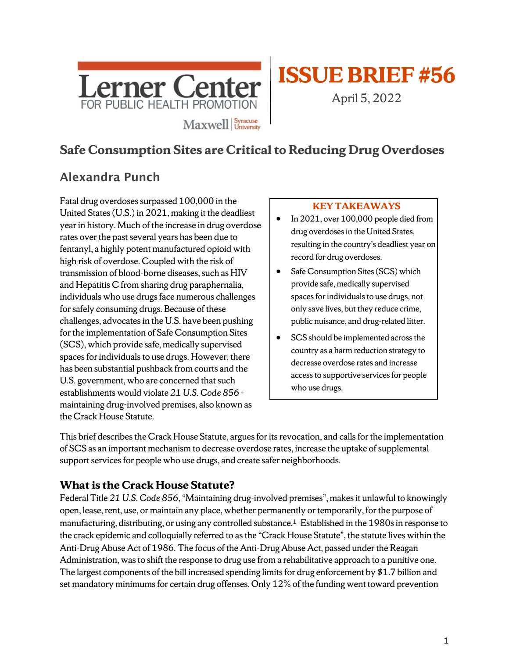

# **ISSUE BRIEF#56**

April 5, 2022

# **Safe Consumption Sites are Critical to Reducing Drug Overdoses**

# Alexandra Punch

Fatal drug overdoses surpassed 100,000 in the United States (U.S.) in 2021, making it the deadliest year in history. Much of the increase in drug overdose rates over the past several years has been due to fentanyl, a highly potent manufactured opioid with high risk of overdose. Coupled with the risk of transmission of blood-borne diseases, such as HIV and Hepatitis C from sharing drug paraphernalia, individuals who use drugs face numerous challenges for safely consuming drugs. Because of these challenges, advocates in the U.S. have been pushing for the implementation of Safe Consumption Sites (SCS), which provide safe, medically supervised spaces for individuals to use drugs. However, there has been substantial pushback from courts and the U.S. government, who are concerned that such establishments would violate *21 U.S. Code 856* maintaining drug-involved premises, also known as the Crack House Statute.

#### **KEY TAKEAWAYS**

- In 2021, over 100,000 people died from drug overdoses in the United States, resulting in the country's deadliest year on record for drug overdoses.
- Safe Consumption Sites (SCS) which provide safe, medically supervised spaces for individuals to use drugs, not only save lives, but they reduce crime, public nuisance, and drug-related litter.
- SCS should be implemented across the country as a harm reduction strategy to decrease overdose rates and increase access to supportive services for people who use drugs.

This brief describes the Crack House Statute, argues for itsrevocation, and calls for the implementation of SCS as an important mechanism to decrease overdose rates, increase the uptake ofsupplemental support services for people who use drugs, and create safer neighborhoods.

# **What is the Crack House Statute?**

Federal Title *21 U.S. Code 856*,"Maintaining drug-involved premises", makes it unlawful to knowingly open, lease, rent, use, or maintain any place, whether permanently or temporarily, for the purpose of manufacturing, distributing, or using any controlled substance.<sup>1</sup> Established in the 1980s in response to the crack epidemic and colloquially referred to as the "Crack House Statute", the statute lives within the Anti-Drug Abuse Act of 1986. The focus of the Anti-Drug Abuse Act, passed under the Reagan Administration, was to shift the response to drug use from a rehabilitative approach to a punitive one. The largest components of the bill increased spending limits for drug enforcement by \$1.7 billion and set mandatory minimums for certain drug offenses. Only 12% of the funding went toward prevention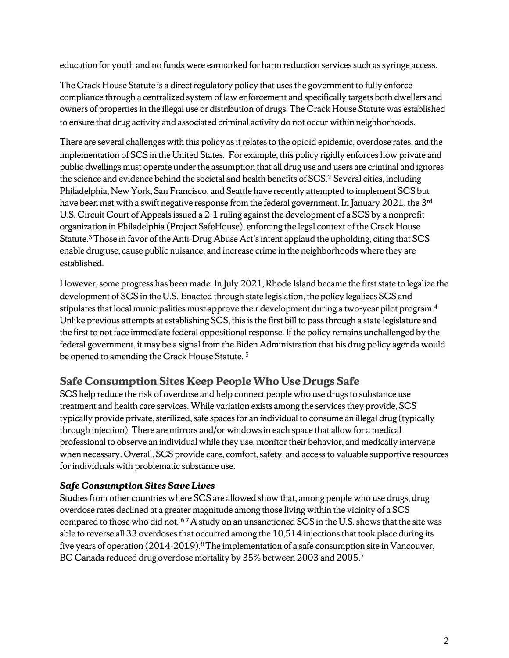education for youth and no funds were earmarked for harm reduction services such as syringe access.

The Crack House Statute is a direct regulatory policy that uses the government to fully enforce compliance through a centralized system of law enforcement and specifically targets both dwellers and owners of properties in the illegal use or distribution of drugs. The Crack House Statute was established to ensure that drug activity and associated criminal activity do not occur within neighborhoods.

There are several challenges with this policy as it relates to the opioid epidemic, overdose rates, and the implementation of SCS in the United States. For example, this policy rigidly enforces how private and public dwellings must operate under the assumption that all drug use and users are criminal and ignores the science and evidence behind the societal and health benefits of SCS. 2 Several cities, including Philadelphia, New York, San Francisco, and Seattle have recently attempted to implement SCS but have been met with a swift negative response from the federal government. In January 2021, the 3<sup>rd</sup> U.S. Circuit Court of Appeals issued a 2-1 ruling against the development of a SCS by a nonprofit organization in Philadelphia (Project SafeHouse), enforcing the legal context of the Crack House Statute. 3 Those in favor of the Anti-Drug Abuse Act's intent applaud the upholding, citing that SCS enable drug use, cause public nuisance, and increase crime in the neighborhoods where they are established.

However, some progress has been made. In July 2021, Rhode Island became the first state to legalize the development of SCS in the U.S. Enacted through state legislation, the policy legalizes SCS and stipulates that local municipalities must approve their development during a two-year pilot program.<sup>4</sup> Unlike previous attempts at establishing SCS, this is the first bill to pass through a state legislature and the first to not face immediate federal oppositional response. If the policy remains unchallenged by the federal government, it may be a signal from the Biden Administration that his drug policy agenda would be opened to amending the Crack House Statute. 5

# **Safe Consumption Sites Keep People Who Use Drugs Safe**

SCS help reduce the risk of overdose and help connect people who use drugs to substance use treatment and health care services. While variation exists among the services they provide, SCS typically provide private, sterilized, safe spaces for an individual to consume an illegal drug (typically through injection). There are mirrors and/or windows in each space that allow for a medical professional to observe an individual while they use, monitor their behavior, and medically intervene when necessary. Overall, SCS provide care, comfort, safety, and access to valuable supportive resources for individuals with problematic substance use.

#### *Safe Consumption Sites Save Lives*

Studies from other countries where SCS are allowed show that, among people who use drugs, drug overdose rates declined at a greater magnitude among those living within the vicinity of a SCS compared to those who did not. <sup>6,7</sup> A study on an unsanctioned SCS in the U.S. shows that the site was able to reverse all 33 overdoses that occurred among the 10,514 injections that took place during its five years of operation (2014-2019).<sup>8</sup> The implementation of a safe consumption site in Vancouver, BC Canada reduced drug overdose mortality by 35% between 2003 and 2005.7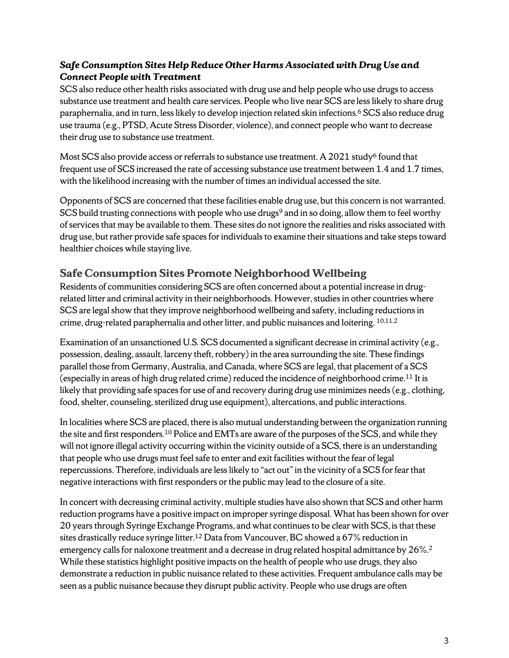#### *Safe Consumption Sites Help Reduce Other Harms Associated with Drug Use and Connect People with Treatment*

SCS also reduce other health risks associated with drug use and help people who use drugs to access substance use treatment and health care services. People who live near SCS are less likely to share drug paraphernalia, and in turn, less likely to develop injection related skin infections. <sup>6</sup> SCS also reduce drug use trauma (e.g., PTSD, Acute Stress Disorder, violence), and connect people who want to decrease their drug use to substance use treatment.

Most SCS also provide access or referrals to substance use treatment. A 2021 study<sup>6</sup> found that frequent use of SCS increased the rate of accessing substance use treatment between 1.4 and 1.7 times, with the likelihood increasing with the number of times an individual accessed the site.

Opponents of SCS are concerned that these facilities enable drug use, but this concern is not warranted. SCS build trusting connections with people who use drugs<sup>9</sup> and in so doing, allow them to feel worthy of services that may be available to them. These sites do not ignore the realities and risks associated with drug use, but rather provide safe spaces for individuals to examine their situations and take steps toward healthier choices while staying live.

## **Safe Consumption Sites Promote Neighborhood Wellbeing**

Residents of communities considering SCS are often concerned about a potential increase in drugrelated litter and criminal activity in their neighborhoods. However, studies in other countries where SCS are legal show that they improve neighborhood wellbeing and safety, including reductions in crime, drug-related paraphernalia and other litter, and public nuisances and loitering. 10,11,2

Examination of an unsanctioned U.S. SCS documented a significant decrease in criminal activity (e.g., possession, dealing, assault, larceny theft, robbery) in the area surrounding the site. These findings parallel those from Germany, Australia, and Canada, where SCS are legal, that placement of a SCS (especially in areas of high drug related crime) reduced the incidence of neighborhood crime. <sup>11</sup> It is likely that providing safe spaces for use of and recovery during drug use minimizes needs(e.g., clothing, food, shelter, counseling, sterilized drug use equipment), altercations, and public interactions.

In localities where SCS are placed, there is also mutual understanding between the organization running the site and first responders.10 Police and EMTs are aware of the purposes of the SCS, and while they will not ignore illegal activity occurring within the vicinity outside of a SCS, there is an understanding that people who use drugs must feel safe to enter and exit facilities without the fear of legal repercussions. Therefore, individuals are less likely to "act out" in the vicinity of a SCS for fear that negative interactions with first responders or the public may lead to the closure of a site.

In concert with decreasing criminal activity, multiple studies have also shown that SCS and other harm reduction programs have a positive impact on improper syringe disposal.What has been shown for over 20 years through Syringe Exchange Programs, and what continues to be clear with SCS, is that these sites drastically reduce syringe litter.<sup>12</sup> Data from Vancouver, BC showed a 67% reduction in emergency calls for naloxone treatment and a decrease in drug related hospital admittance by 26%.<sup>2</sup> While these statistics highlight positive impacts on the health of people who use drugs, they also demonstrate a reduction in public nuisance related to these activities. Frequent ambulance calls may be seen as a public nuisance because they disrupt public activity. People who use drugs are often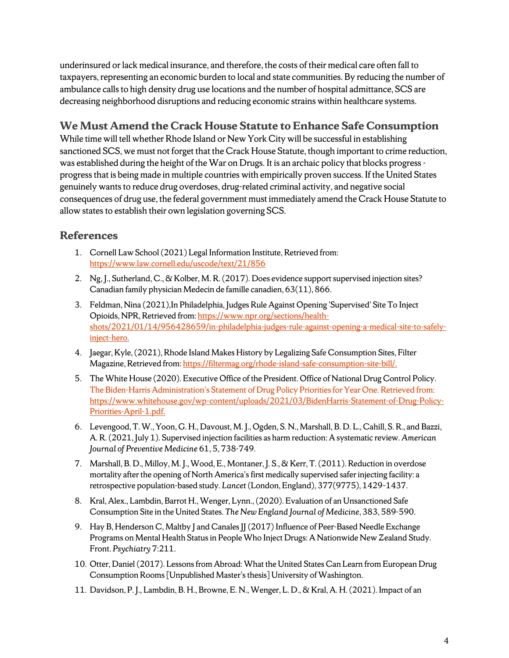underinsured or lack medical insurance, and therefore, the costs of their medical care often fall to taxpayers, representing an economic burden to local and state communities. By reducing the number of ambulance calls to high density drug use locations and the number of hospital admittance, SCS are decreasing neighborhood disruptions and reducing economic strains within healthcare systems.

## **We Must Amend the Crack House Statute to Enhance Safe Consumption**

While time will tell whether Rhode Island or New York City will be successful in establishing sanctioned SCS, we must not forget that the Crack House Statute, though important to crime reduction, was established during the height of the War on Drugs. It is an archaic policy that blocks progressprogress that is being made in multiple countries with empirically proven success. If the United States genuinely wants to reduce drug overdoses, drug-related criminal activity, and negative social consequences of drug use, the federal government must immediately amend the Crack House Statute to allow states to establish their own legislation governing SCS.

# **References**

- 1. Cornell Law School (2021) Legal Information Institute, Retrieved from: <https://www.law.cornell.edu/uscode/text/21/856>
- 2. Ng, J., Sutherland, C., & Kolber, M. R. (2017). Does evidence support supervised injection sites? Canadian family physician Medecin de famille canadien, 63(11), 866.
- 3. Feldman, Nina (2021),In Philadelphia, Judges Rule Against Opening 'Supervised' Site To Inject Opioids, NPR, Retrieved from[: https://www.npr.org/sections/health](https://www.npr.org/sections/health-shots/2021/01/14/956428659/in-philadelphia-judges-rule-against-opening-a-medical-site-to-safely-inject-hero)[shots/2021/01/14/956428659/in-philadelphia-judges-rule-against-opening-a-medical-site-to-safely](https://www.npr.org/sections/health-shots/2021/01/14/956428659/in-philadelphia-judges-rule-against-opening-a-medical-site-to-safely-inject-hero)[inject-hero.](https://www.npr.org/sections/health-shots/2021/01/14/956428659/in-philadelphia-judges-rule-against-opening-a-medical-site-to-safely-inject-hero)
- 4. Jaegar, Kyle, (2021), Rhode Island Makes History by Legalizing Safe Consumption Sites, Filter Magazine, Retrieved from[: https://filtermag.org/rhode-island-safe-consumption-site-bill/.](https://filtermag.org/rhode-island-safe-consumption-site-bill/)
- 5. The White House (2020). Executive Office of the President. Office of National Drug Control Policy. The Biden-Harris Administration's Statement of Drug Policy Priorities for Year One. Retrieved from: [https://www.whitehouse.gov/wp-content/uploads/2021/03/BidenHarris-Statement-of-Drug-Policy-](https://www.whitehouse.gov/wp-content/uploads/2021/03/BidenHarris-Statement-of-Drug-Policy-Priorities-April-1.pdf)[Priorities-April-1.pdf.](https://www.whitehouse.gov/wp-content/uploads/2021/03/BidenHarris-Statement-of-Drug-Policy-Priorities-April-1.pdf)
- 6. Levengood, T. W., Yoon, G. H., Davoust, M. J., Ogden, S. N., Marshall, B. D. L., Cahill, S. R., and Bazzi, A. R. (2021, July 1). Supervised injection facilities as harm reduction: A systematic review. *American Journal of Preventive Medicine* 61, 5, 738-749.
- 7. Marshall, B. D., Milloy, M. J., Wood, E., Montaner, J. S., & Kerr, T. (2011). Reduction in overdose mortality after the opening of North America's first medically supervised safer injecting facility: a retrospective population-based study. *Lancet* (London, England), 377(9775), 1429–1437.
- 8. Kral, Alex., Lambdin, Barrot H., Wenger, Lynn., (2020). Evaluation of an Unsanctioned Safe Consumption Site in the United States. *The New England Journal of Medicine*, 383, 589-590.
- 9. Hay B, Henderson C, Maltby J and Canales JJ (2017) Influence of Peer-Based Needle Exchange Programs on Mental Health Status in People Who Inject Drugs: A Nationwide New Zealand Study. Front. *Psychiatry* 7:211.
- 10. Otter, Daniel (2017). Lessons from Abroad: What the United States Can Learn from European Drug Consumption Rooms [Unpublished Master's thesis] University of Washington.
- 11. Davidson, P. J., Lambdin, B. H., Browne, E. N., Wenger, L. D., & Kral, A. H. (2021). Impact of an